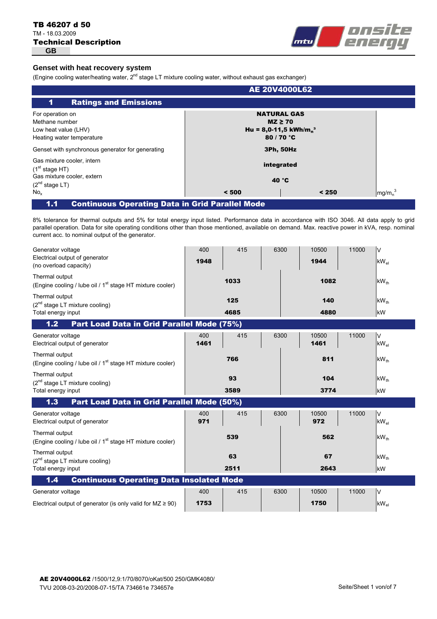# **GB** Technical Description TB 46207 d 50 TM - 18.03.2009



# **Genset with heat recovery system**

(Engine cooling water/heating water,  $2^{nd}$  stage LT mixture cooling water, without exhaust gas exchanger)

| mg/m <sub>n</sub> <sup>3</sup> |
|--------------------------------|
|                                |

1.1 Continuous Operating Data in Grid Parallel Mode

8% tolerance for thermal outputs and 5% for total energy input listed. Performance data in accordance with ISO 3046. All data apply to grid parallel operation. Data for site operating conditions other than those mentioned, available on demand. Max. reactive power in kVA, resp. nominal current acc. to nominal output of the generator.

| Generator voltage<br>Electrical output of generator<br>(no overload capacity)           | 400<br>1948 | 415         | 6300 | 10500<br>1944 | 11000 | V<br>$kW_{el}$      |
|-----------------------------------------------------------------------------------------|-------------|-------------|------|---------------|-------|---------------------|
| Thermal output<br>(Engine cooling / lube oil / 1 <sup>st</sup> stage HT mixture cooler) |             | 1033        |      | 1082          |       | $kW_{th}$           |
| Thermal output<br>$(2nd stage LT mixture cooling)$<br>Total energy input                |             | 125<br>4685 |      | 140<br>4880   |       | $kW_{th}$<br>kW     |
| Part Load Data in Grid Parallel Mode (75%)<br>1.2                                       |             |             |      |               |       |                     |
| Generator voltage<br>Electrical output of generator                                     | 400<br>1461 | 415         | 6300 | 10500<br>1461 | 11000 | V<br>$kW_{el}$      |
| Thermal output<br>(Engine cooling / lube oil / 1 <sup>st</sup> stage HT mixture cooler) |             | 766         |      | 811           |       | $kW_{th}$           |
| Thermal output<br>$(2^{nd}$ stage LT mixture cooling)                                   |             | 93          |      | 104           |       | $kW_{th}$           |
| Total energy input<br>Part Load Data in Grid Parallel Mode (50%)<br>1.3                 |             | 3589        |      | 3774          |       | kW                  |
| Generator voltage<br>Electrical output of generator                                     | 400<br>971  | 415         | 6300 | 10500<br>972  | 11000 | $\vee$<br>$kW_{el}$ |
| Thermal output<br>(Engine cooling / lube oil / 1 <sup>st</sup> stage HT mixture cooler) |             | 539         |      | 562           |       | $kW_{th}$           |
| Thermal output<br>$(2^{nd}$ stage LT mixture cooling)                                   |             | 63          |      | 67            |       | $kW_{th}$           |
| Total energy input                                                                      |             | 2511        |      | 2643          |       | kW                  |
| <b>Continuous Operating Data Insolated Mode</b><br>1.4                                  |             |             |      |               |       |                     |
| Generator voltage                                                                       | 400         | 415         | 6300 | 10500         | 11000 | V                   |
| Electrical output of generator (is only valid for $MZ \ge 90$ )                         | 1753        |             |      | 1750          |       | $kW_{el}$           |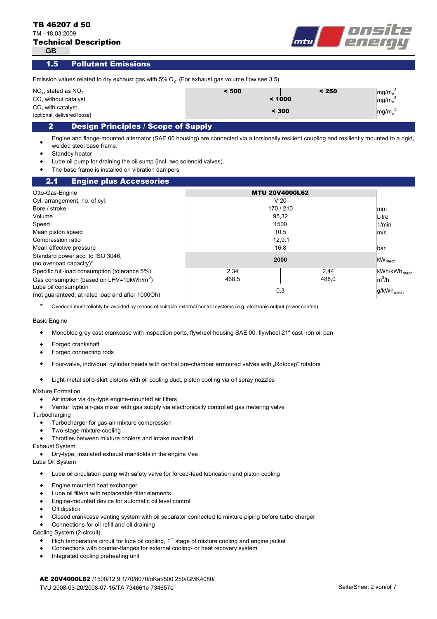TM - 18.03.2009



**GB**

#### 1.5 Pollutant Emissions

| Emission values related to dry exhaust gas with $5\%$ O <sub>2</sub> . (For exhaust gas volume flow see 3.5) |       |        |                                                                  |  |
|--------------------------------------------------------------------------------------------------------------|-------|--------|------------------------------------------------------------------|--|
| $NO_{v}$ , stated as $NO_{2}$                                                                                | < 500 | < 250  | mg/m <sub>n</sub> <sup>3</sup>                                   |  |
| CO, without catalyst                                                                                         |       | < 1000 |                                                                  |  |
| CO, with catalyst<br>(optional, delivered loose)                                                             | < 300 |        | mg/m <sub>n</sub> <sup>3</sup><br>mg/m <sub>n</sub> <sup>3</sup> |  |
| Docian Dringinles / Scono of Sunnly                                                                          |       |        |                                                                  |  |

# 2 Design Principles / Scope of Supply

 $\bullet$ Engine and flange-mounted alternator (SAE 00 housing) are connected via a torsionally resilient coupling and resiliently mounted to a rigid, welded steel base frame.

- $\bullet$ Standby heater
- $\bullet$ Lube oil pump for draining the oil sump (incl. two solenoid valves).
- $\bullet$ The base frame is installed on vibration dampers

#### mm Litre 1/min m/s bar  $kW_{mech}$ kWh/kWh mech m ${}^{3}$ /h g/kWh<sub>mech</sub> 95,32 0,3 Lube oil consumption (not guaranteed, at rated load and after 1000Oh) 488,0 Specific full-load consumption (tolerance 5%) Gas consumption (based on LHV=10kWh/m<sup>3</sup>) 2,34 2,44 468,5 Compression ratio **2000** Mean effective pressure Standard power acc. to ISO 3046, (no overload capacity)\* 16,8 12,9:1 Mean piston speed 10,5 Speed the control of the control of the control of the control of the control of the control of the control of the control of the control of the control of the control of the control of the control of the control of the co Volume V 20 Bore / stroke 170 / 210 Cyl. arrangement, no. of cyl. Otto-Gas-Engine **MTU 20V4000L62**  2.1 Engine plus Accessories

\* Overload must reliably be avoided by means of suitable external control systems (e.g. electronic output power control).

#### Basic Engine

- $\bullet$ Monobloc grey cast crankcase with inspection ports, flywheel housing SAE 00, flywheel 21" cast iron oil pan
- $\bullet$ Forged crankshaft
- $\bullet$ Forged connecting rods
- $\bullet$ Four-valve, individual cylinder heads with central pre-chamber armoured valves with "Rotocap" rotators
- $\bullet$ Light-metal solid-skirt pistons with oil cooling duct, piston cooling via oil spray nozzles

#### Mixture Formation

- $\bullet$ Air intake via dry-type engine-mounted air filters
- $\bullet$ Venturi type air-gas mixer with gas supply via electronically controlled gas metering valve

**Turbocharging** 

- $\bullet$ Turbocharger for gas-air mixture compression
- $\bullet$ Two-stage mixture cooling
- $\bullet$ Throttles between mixture coolers and intake manifold

### Exhaust System

- $\bullet$ Dry-type, insulated exhaust manifolds in the engine Vee
- Lube Oil System
	- $\blacklozenge$ Lube oil circulation pump with safety valve for forced-feed lubrication and piston cooling
	- $\bullet$ Engine mounted heat exchanger
	- $\bullet$ Lube oil filters with replaceable filter elements
	- $\bullet$ Engine-mounted device for automatic oil level control
	- $\bullet$ Oil dipstick
	- $\bullet$ Closed crankcase venting system with oil separator connected to mixture piping before turbo charger
	- $\bullet$ Connections for oil refill and oil draining

Cooling System (2-circuit)

- $\blacklozenge$ High temperature circuit for lube oil cooling,  $1<sup>st</sup>$  stage of mixture cooling and engine jacket
- $\bullet$ Connections with counter-flanges for external cooling- or heat recovery system
- $\bullet$ Integrated cooling preheating unit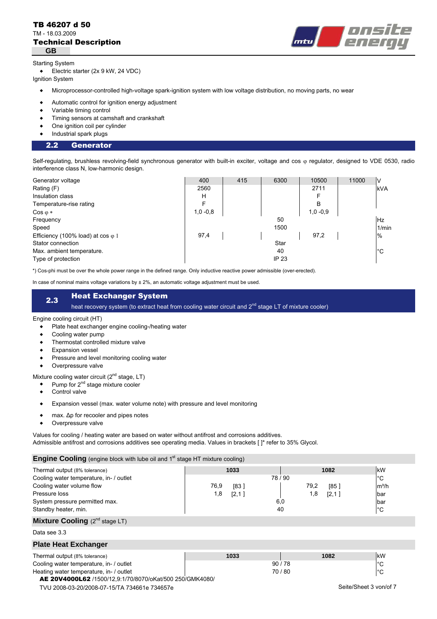### **GB** Technical Description TB 46207 d 50 TM - 18.03.2009



#### Starting System

 $\bullet$ Electric starter (2x 9 kW, 24 VDC)

Ignition System

- $\bullet$ Microprocessor-controlled high-voltage spark-ignition system with low voltage distribution, no moving parts, no wear
- $\bullet$ Automatic control for ignition energy adjustment
- $\bullet$ Variable timing control
- $\bullet$ Timing sensors at camshaft and crankshaft
- $\bullet$ One ignition coil per cylinder
- $\bullet$ Industrial spark plugs

#### Generator 2.2

Self-regulating, brushless revolving-field synchronous generator with built-in exciter, voltage and cos  $\varphi$  regulator, designed to VDE 0530, radio interference class N, low-harmonic design.

| Generator voltage                          | 400        | 415 | 6300  | 10500      | 11000 | ν     |
|--------------------------------------------|------------|-----|-------|------------|-------|-------|
| Rating (F)                                 | 2560       |     |       | 2711       |       | kVA   |
| Insulation class                           | н          |     |       | F          |       |       |
| Temperature-rise rating                    | F          |     |       | B          |       |       |
| $\cos \varphi *$                           | $1,0 -0.8$ |     |       | $1,0 -0.9$ |       |       |
| Frequency                                  |            |     | 50    |            |       | Hz    |
| Speed                                      |            |     | 1500  |            |       | 1/min |
| Efficiency (100% load) at $\cos \varphi$ 1 | 97,4       |     |       | 97,2       |       | $\%$  |
| Stator connection                          |            |     | Star  |            |       |       |
| Max. ambient temperature.                  |            |     | 40    |            |       | °C    |
| Type of protection                         |            |     | IP 23 |            |       |       |

\*) Cos-phi must be over the whole power range in the defined range. Only inductive reactive power admissible (over-erected).

In case of nominal mains voltage variations by  $\pm 2\%$ , an automatic voltage adjustment must be used.

# 2.3 Heat Exchanger System

heat recovery system (to extract heat from cooling water circuit and 2<sup>nd</sup> stage LT of mixture cooler)

#### Engine cooling circuit (HT)

- $\bullet$ Plate heat exchanger engine cooling-/heating water
- $\bullet$ Cooling water pump
- $\bullet$ Thermostat controlled mixture valve
- $\bullet$ Expansion vessel
- $\bullet$ Pressure and level monitoring cooling water
- $\bullet$ Overpressure valve

Mixture cooling water circuit  $(2^{nd}$  stage, LT)

- $\bullet$ Pump for 2<sup>nd</sup> stage mixture cooler
- $\bullet$ Control valve
- $\bullet$ Expansion vessel (max. water volume note) with pressure and level monitoring
- $\bullet$ max. Δp for recooler and pipes notes
- $\bullet$ Overpressure valve

Values for cooling / heating water are based on water without antifrost and corrosions additives.

Admissible antifrost and corrosions additives see operating media. Values in brackets [ ]\* refer to 35% Glycol.

# **Engine Cooling** (engine block with lube oil and 1<sup>st</sup> stage HT mixture cooling)

| Thermal output (8% tolerance)                            | 1033         |       | 1082         | kW                     |
|----------------------------------------------------------|--------------|-------|--------------|------------------------|
| Cooling water temperature, in- / outlet                  |              | 78/90 |              | $^{\circ}C$            |
| Cooling water volume flow                                | 76,9<br>[83] |       | 79,2<br>[85] | $m^3/h$                |
| Pressure loss                                            | 1,8<br>[2,1] |       | 1,8<br>[2,1] | bar                    |
| System pressure permitted max.                           |              | 6,0   |              | bar                    |
| Standby heater, min.                                     |              | 40    |              | $^{\circ}C$            |
| <b>Mixture Cooling</b> $(2^{nd}$ stage LT)               |              |       |              |                        |
| Data see 3.3                                             |              |       |              |                        |
| <b>Plate Heat Exchanger</b>                              |              |       |              |                        |
| Thermal output (8% tolerance)                            | 1033         |       | 1082         | kW                     |
| Cooling water temperature, in- / outlet                  |              | 90/78 |              | $^{\circ}C$            |
| Heating water temperature, in- / outlet                  |              | 70/80 |              | $^{\circ}$ C           |
| AE 20V4000L62 /1500/12.9:1/70/8070/oKat/500 250/GMK4080/ |              |       |              |                        |
| TVU 2008-03-20/2008-07-15/TA 734661e 734657e             |              |       |              | Seite/Sheet 3 von/of 7 |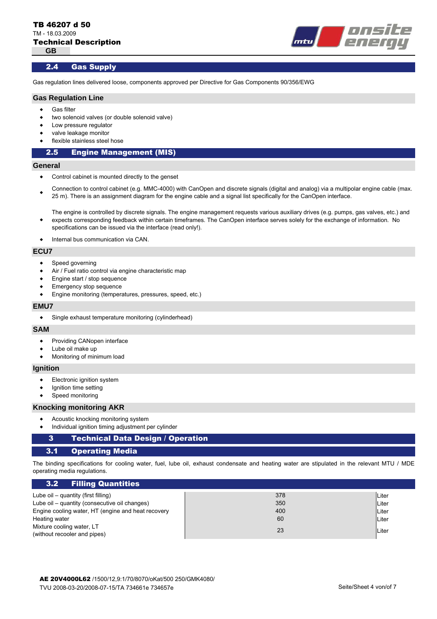

### 2.4 Gas Supply

Gas regulation lines delivered loose, components approved per Directive for Gas Components 90/356/EWG

# **Gas Regulation Line**

- $\bullet$ Gas filter
- $\bullet$ two solenoid valves (or double solenoid valve)
- $\bullet$ Low pressure regulator
- $\bullet$ valve leakage monitor
- $\bullet$ flexible stainless steel hose

# 2.5 Engine Management (MIS)

#### **General**

- $\bullet$ Control cabinet is mounted directly to the genset
- $\bullet$ Connection to control cabinet (e.g. MMC-4000) with CanOpen and discrete signals (digital and analog) via a multipolar engine cable (max. 25 m). There is an assignment diagram for the engine cable and a signal list specifically for the CanOpen interface.

The engine is controlled by discrete signals. The engine management requests various auxiliary drives (e.g. pumps, gas valves, etc.) and expects corresponding feedback within certain timeframes. The CanOpen interface serves solely for the exchange of information. No specifications can be issued via the interface (read only!).

 $\bullet$ Internal bus communication via CAN.

#### **ECU7**

 $\blacktriangle$ 

- $\bullet$ Speed governing
- $\bullet$ Air / Fuel ratio control via engine characteristic map
- $\bullet$ Engine start / stop sequence
- $\bullet$ Emergency stop sequence
- $\bullet$ Engine monitoring (temperatures, pressures, speed, etc.)

#### **EMU7**

 $\bullet$ Single exhaust temperature monitoring (cylinderhead)

#### **SAM**

- $\blacklozenge$ Providing CANopen interface
- $\bullet$ Lube oil make up
- $\bullet$ Monitoring of minimum load

# **Ignition**

- $\bullet$ Electronic ignition system
- $\bullet$ Ignition time setting
- $\bullet$ Speed monitoring

#### **Knocking monitoring AKR**

- $\bullet$ Acoustic knocking monitoring system
- $\bullet$ Individual ignition timing adjustment per cylinder

# 3 Technical Data Design / Operation

#### Operating Media  $3.1$

The binding specifications for cooling water, fuel, lube oil, exhaust condensate and heating water are stipulated in the relevant MTU / MDE operating media regulations.

| 3.2 <sub>1</sub><br><b>Filling Quantities</b>             |     |       |
|-----------------------------------------------------------|-----|-------|
| Lube oil – quantity (first filling)                       | 378 | Liter |
| Lube oil – quantity (consecutive oil changes)             | 350 | Liter |
| Engine cooling water, HT (engine and heat recovery        | 400 | Liter |
| Heating water                                             | 60  | Liter |
| Mixture cooling water, LT<br>(without recooler and pipes) | 23  | Liter |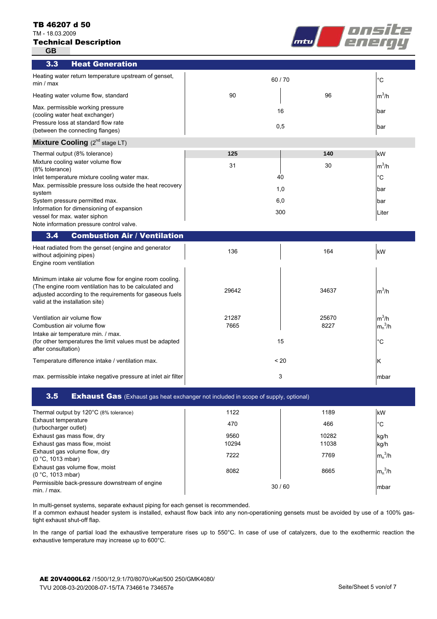#### TB 46207 d 50

TM - 18.03.2009

# Technical Description

**GB**



| 3.3<br><b>Heat Generation</b>                                                                                                                                                                                   |       |       |             |
|-----------------------------------------------------------------------------------------------------------------------------------------------------------------------------------------------------------------|-------|-------|-------------|
| Heating water return temperature upstream of genset,<br>min / max                                                                                                                                               |       | 60/70 | $^{\circ}C$ |
| Heating water volume flow, standard                                                                                                                                                                             | 90    | 96    | $m^3/h$     |
| Max. permissible working pressure<br>(cooling water heat exchanger)<br>Pressure loss at standard flow rate                                                                                                      |       | 16    | bar         |
| (between the connecting flanges)                                                                                                                                                                                | 0,5   |       | bar         |
| <b>Mixture Cooling</b> $(2^{nd}$ stage LT)                                                                                                                                                                      |       |       |             |
| Thermal output (8% tolerance)                                                                                                                                                                                   | 125   | 140   | kW          |
| Mixture cooling water volume flow<br>(8% tolerance)                                                                                                                                                             | 31    | 30    | $m^3/h$     |
| Inlet temperature mixture cooling water max.                                                                                                                                                                    |       | 40    | $^{\circ}C$ |
| Max. permissible pressure loss outside the heat recovery<br>system                                                                                                                                              |       | 1,0   | bar         |
| System pressure permitted max.                                                                                                                                                                                  | 6,0   |       | bar         |
| Information for dimensioning of expansion<br>vessel for max. water siphon                                                                                                                                       |       | 300   | Liter       |
| Note information pressure control valve.                                                                                                                                                                        |       |       |             |
| <b>Combustion Air / Ventilation</b><br>3.4                                                                                                                                                                      |       |       |             |
| Heat radiated from the genset (engine and generator<br>without adjoining pipes)<br>Engine room ventilation                                                                                                      | 136   | 164   | kW          |
| Minimum intake air volume flow for engine room cooling.<br>(The engine room ventilation has to be calculated and<br>adjusted according to the requirements for gaseous fuels<br>valid at the installation site) | 29642 | 34637 | $m^3/h$     |
| Ventilation air volume flow                                                                                                                                                                                     | 21287 | 25670 | $m^3/h$     |
| Combustion air volume flow<br>Intake air temperature min. / max.                                                                                                                                                | 7665  | 8227  | $m_n^3/h$   |
| (for other temperatures the limit values must be adapted<br>after consultation)                                                                                                                                 |       | 15    | $^{\circ}C$ |
| Temperature difference intake / ventilation max.                                                                                                                                                                |       | ~120  | Κ           |
| max. permissible intake negative pressure at inlet air filter                                                                                                                                                   |       | 3     | mbar        |

# **3.5** Exhaust Gas (Exhaust gas heat exchanger not included in scope of supply, optional)

| Thermal output by 120°C (8% tolerance)                        | 1122  | 1189  | kW          |
|---------------------------------------------------------------|-------|-------|-------------|
| Exhaust temperature<br>(turbocharger outlet)                  | 470   | 466   | $^{\circ}C$ |
| Exhaust gas mass flow, dry                                    | 9560  | 10282 | kg/h        |
| Exhaust gas mass flow, moist                                  | 10294 | 11038 | kg/h        |
| Exhaust gas volume flow, dry<br>(0 °C, 1013 mbar)             | 7222  | 7769  | $m_n^3/h$   |
| Exhaust gas volume flow, moist<br>(0 °C, 1013 mbar)           | 8082  | 8665  | $m_n^3/h$   |
| Permissible back-pressure downstream of engine<br>min. / max. |       | 30/60 | Imbar       |

In multi-genset systems, separate exhaust piping for each genset is recommended.

If a common exhaust header system is installed, exhaust flow back into any non-operationing gensets must be avoided by use of a 100% gastight exhaust shut-off flap.

In the range of partial load the exhaustive temperature rises up to 550°C. In case of use of catalyzers, due to the exothermic reaction the exhaustive temperature may increase up to 600°C.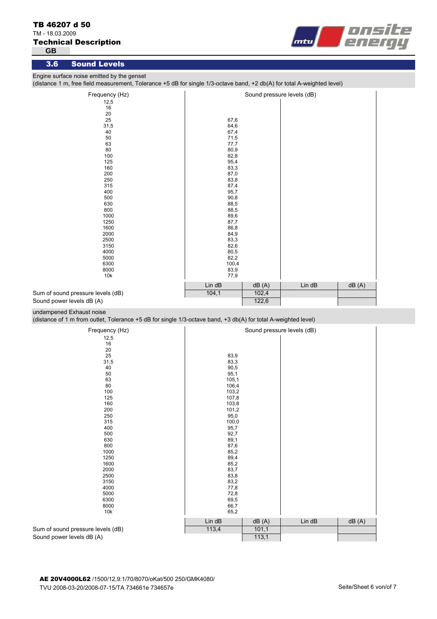# TM - 18.03.2009

# Technical Description

**GB**



### 3.6 Sound Levels

Engine surface noise emitted by the genset

(distance 1 m, free field measurement, Tolerance +5 dB for single 1/3-octave band, +2 db(A) for total A-weighted level)

| Frequency (Hz)                    |        |       | Sound pressure levels (dB) |       |
|-----------------------------------|--------|-------|----------------------------|-------|
| 12,5                              |        |       |                            |       |
| 16                                |        |       |                            |       |
| 20                                |        |       |                            |       |
| 25                                | 67,6   |       |                            |       |
| 31,5                              | 64,6   |       |                            |       |
| 40                                | 67,4   |       |                            |       |
| 50                                | 71,5   |       |                            |       |
| 63                                | 77,7   |       |                            |       |
| 80                                | 80,9   |       |                            |       |
| 100                               | 82,8   |       |                            |       |
| 125                               | 95,4   |       |                            |       |
| 160                               | 83,3   |       |                            |       |
| 200                               | 87,0   |       |                            |       |
| 250                               | 83,8   |       |                            |       |
| 315                               | 87,4   |       |                            |       |
| 400                               | 95,7   |       |                            |       |
| 500                               | 90,8   |       |                            |       |
| 630                               | 88,5   |       |                            |       |
| 800                               | 88,5   |       |                            |       |
| 1000                              | 89,6   |       |                            |       |
| 1250                              | 87,7   |       |                            |       |
| 1600                              | 86,8   |       |                            |       |
| 2000                              | 84,9   |       |                            |       |
| 2500                              | 83,3   |       |                            |       |
| 3150                              | 82,6   |       |                            |       |
| 4000                              | 80,5   |       |                            |       |
| 5000                              | 82,2   |       |                            |       |
| 6300                              | 100,4  |       |                            |       |
| 8000                              | 83,9   |       |                            |       |
| 10k                               | 77,9   |       |                            |       |
|                                   | Lin dB | dB(A) | Lin dB                     | dB(A) |
| Sum of sound pressure levels (dB) | 104,1  | 102,4 |                            |       |
|                                   |        |       |                            |       |
| Sound power levels dB (A)         |        | 122,6 |                            |       |

undampened Exhaust noise

(distance of 1 m from outlet, Tolerance +5 dB for single 1/3-octave band, +3 db(A) for total A-weighted level)

| Frequency (Hz)                    |        |       | Sound pressure levels (dB) |       |
|-----------------------------------|--------|-------|----------------------------|-------|
| 12,5                              |        |       |                            |       |
| 16                                |        |       |                            |       |
| 20                                |        |       |                            |       |
| 25                                | 83,9   |       |                            |       |
| 31,5                              | 83,3   |       |                            |       |
| 40                                | 90,5   |       |                            |       |
| 50                                | 95,1   |       |                            |       |
| 63                                | 105,1  |       |                            |       |
| 80                                | 106,4  |       |                            |       |
| 100                               | 103,2  |       |                            |       |
| 125                               | 107,8  |       |                            |       |
| 160                               | 103,8  |       |                            |       |
| 200                               | 101,2  |       |                            |       |
| 250                               | 95,0   |       |                            |       |
| 315                               | 100,0  |       |                            |       |
| 400                               | 95,7   |       |                            |       |
| 500                               | 92,7   |       |                            |       |
| 630                               | 89,1   |       |                            |       |
| 800                               | 87,6   |       |                            |       |
| 1000                              | 85,2   |       |                            |       |
| 1250                              | 89,4   |       |                            |       |
| 1600                              | 85,2   |       |                            |       |
| 2000                              | 83,7   |       |                            |       |
| 2500                              | 83,8   |       |                            |       |
| 3150                              | 83,2   |       |                            |       |
| 4000                              | 77,8   |       |                            |       |
| 5000                              | 72,8   |       |                            |       |
| 6300                              | 69,5   |       |                            |       |
| 8000                              | 66,7   |       |                            |       |
| 10k                               | 65,2   |       |                            |       |
|                                   | Lin dB | dB(A) | Lin dB                     | dB(A) |
| Sum of sound pressure levels (dB) | 113,4  | 101,1 |                            |       |
| Sound power levels dB (A)         |        | 113,1 |                            |       |